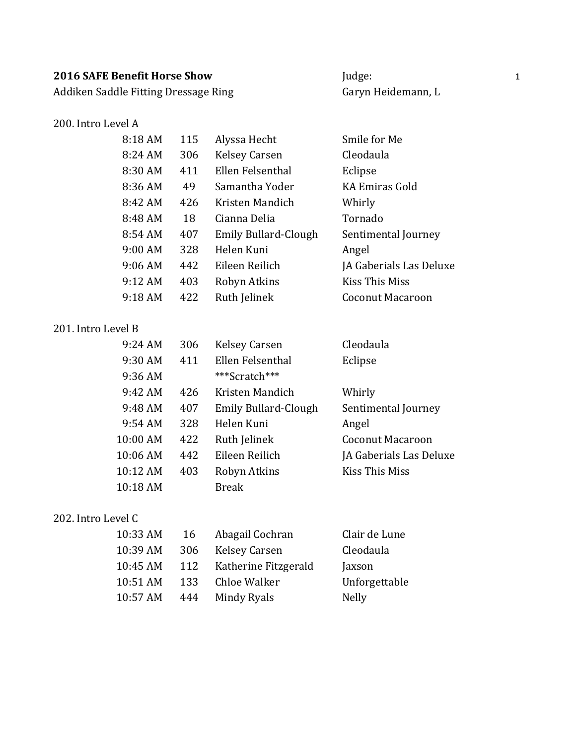Addiken Saddle Fitting Dressage Ring Garyn Heidemann, L

### 200. Intro Level A

| Judge:             |
|--------------------|
| Garyn Heidemann, L |

| 8:18 AM | 115 | Alyssa Hecht                | Smile for Me            |
|---------|-----|-----------------------------|-------------------------|
| 8:24 AM | 306 | <b>Kelsey Carsen</b>        | Cleodaula               |
| 8:30 AM | 411 | Ellen Felsenthal            | Eclipse                 |
| 8:36 AM | 49  | Samantha Yoder              | KA Emiras Gold          |
| 8:42 AM | 426 | Kristen Mandich             | Whirly                  |
| 8:48 AM | 18  | Cianna Delia                | Tornado                 |
| 8:54 AM | 407 | <b>Emily Bullard-Clough</b> | Sentimental Journey     |
| 9:00 AM | 328 | Helen Kuni                  | Angel                   |
| 9:06 AM | 442 | Eileen Reilich              | JA Gaberials Las Deluxe |
| 9:12 AM | 403 | Robyn Atkins                | Kiss This Miss          |
| 9:18AM  | 422 | Ruth Jelinek                | <b>Coconut Macaroon</b> |

#### 201. Intro Level B

| 9:24 AM  | 306 | Kelsey Carsen               | Cleodaula               |
|----------|-----|-----------------------------|-------------------------|
| 9:30 AM  | 411 | Ellen Felsenthal            | Eclipse                 |
| 9:36 AM  |     | ***Scratch***               |                         |
| 9:42 AM  | 426 | Kristen Mandich             | Whirly                  |
| 9:48 AM  | 407 | <b>Emily Bullard-Clough</b> | Sentimental Journey     |
| 9:54 AM  | 328 | Helen Kuni                  | Angel                   |
| 10:00 AM | 422 | Ruth Jelinek                | Coconut Macaroon        |
| 10:06 AM | 442 | Eileen Reilich              | JA Gaberials Las Deluxe |
| 10:12 AM | 403 | Robyn Atkins                | Kiss This Miss          |
| 10:18 AM |     | <b>Break</b>                |                         |

#### 202. Intro Level C

| 10:33 AM | 16  | Abagail Cochran      | Clair de Lune |
|----------|-----|----------------------|---------------|
| 10:39 AM | 306 | <b>Kelsey Carsen</b> | Cleodaula     |
| 10:45 AM | 112 | Katherine Fitzgerald | Jaxson        |
| 10:51 AM | 133 | Chloe Walker         | Unforgettable |
| 10:57 AM | 444 | Mindy Ryals          | <b>Nelly</b>  |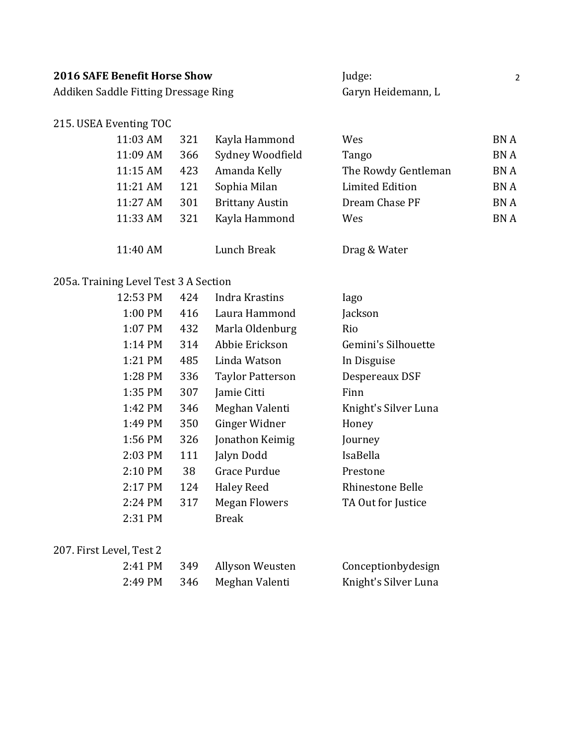| <b>2016 SAFE Benefit Horse Show</b>  | Judge:             |  |
|--------------------------------------|--------------------|--|
| Addiken Saddle Fitting Dressage Ring | Garyn Heidemann, L |  |

### 215. USEA Eventing TOC

| 11:03 AM | 321 | Kayla Hammond          | Wes                 | <b>BNA</b> |
|----------|-----|------------------------|---------------------|------------|
| 11:09 AM | 366 | Sydney Woodfield       | Tango               | <b>BNA</b> |
| 11:15 AM | 423 | Amanda Kelly           | The Rowdy Gentleman | <b>BNA</b> |
| 11:21 AM | 121 | Sophia Milan           | Limited Edition     | <b>BNA</b> |
| 11:27 AM | 301 | <b>Brittany Austin</b> | Dream Chase PF      | <b>BNA</b> |
| 11:33 AM | 321 | Kayla Hammond          | Wes                 | <b>BNA</b> |
|          |     |                        |                     |            |
| 11:40 AM |     | Lunch Break            | Drag & Water        |            |

# 205a. Training Level Test 3 A Section

| 12:53 PM  | 424 | Indra Krastins          | Iago                 |
|-----------|-----|-------------------------|----------------------|
| 1:00 PM   | 416 | Laura Hammond           | Jackson              |
| 1:07 PM   | 432 | Marla Oldenburg         | Rio                  |
| $1:14$ PM | 314 | Abbie Erickson          | Gemini's Silhouette  |
| 1:21 PM   | 485 | Linda Watson            | In Disguise          |
| 1:28 PM   | 336 | <b>Taylor Patterson</b> | Despereaux DSF       |
| 1:35 PM   | 307 | Jamie Citti             | Finn                 |
| 1:42 PM   | 346 | Meghan Valenti          | Knight's Silver Luna |
| 1:49 PM   | 350 | Ginger Widner           | Honey                |
| 1:56 PM   | 326 | Jonathon Keimig         | Journey              |
| 2:03 PM   | 111 | Jalyn Dodd              | IsaBella             |
| 2:10 PM   | 38  | Grace Purdue            | Prestone             |
| 2:17 PM   | 124 | <b>Haley Reed</b>       | Rhinestone Belle     |
| 2:24 PM   | 317 | <b>Megan Flowers</b>    | TA Out for Justice   |
| 2:31 PM   |     | <b>Break</b>            |                      |

#### 207. First Level, Test 2

| 2:41 PM | 349 | Allyson Weusten    | Conceptionbydesign   |
|---------|-----|--------------------|----------------------|
| 2:49 PM |     | 346 Meghan Valenti | Knight's Silver Luna |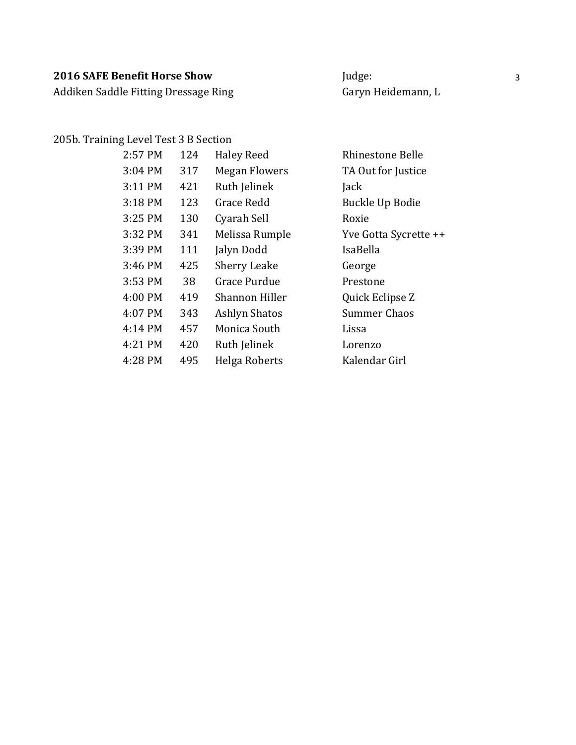Addiken Saddle Fitting Dressage Ring Garyn Heidemann, L

#### 205b. Training Level Test 3 B Section

| 2:57 PM | 124 | <b>Haley Reed</b>    | Rhinestone Belle      |
|---------|-----|----------------------|-----------------------|
| 3:04 PM | 317 | <b>Megan Flowers</b> | TA Out for Justice    |
| 3:11 PM | 421 | Ruth Jelinek         | Jack                  |
| 3:18 PM | 123 | Grace Redd           | Buckle Up Bodie       |
| 3:25 PM | 130 | Cyarah Sell          | Roxie                 |
| 3:32 PM | 341 | Melissa Rumple       | Yve Gotta Sycrette ++ |
| 3:39 PM | 111 | Jalyn Dodd           | IsaBella              |
| 3:46 PM | 425 | <b>Sherry Leake</b>  | George                |
| 3:53 PM | 38  | <b>Grace Purdue</b>  | Prestone              |
| 4:00 PM | 419 | Shannon Hiller       | Quick Eclipse Z       |
| 4:07 PM | 343 | Ashlyn Shatos        | <b>Summer Chaos</b>   |
| 4:14 PM | 457 | Monica South         | Lissa                 |
| 4:21 PM | 420 | Ruth Jelinek         | Lorenzo               |
| 4:28 PM | 495 | Helga Roberts        | Kalendar Girl         |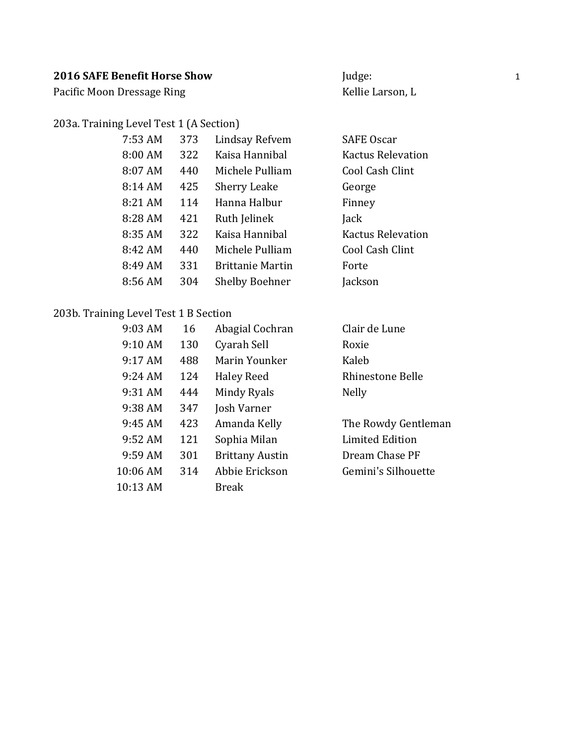Pacific Moon Dressage Ring Material Communication and Kellie Larson, L

#### 203a. Training Level Test 1 (A Section)

| 7:53 AM | 373 | Lindsay Refvem          | <b>SAFE Oscar</b>        |
|---------|-----|-------------------------|--------------------------|
| 8:00 AM | 322 | Kaisa Hannibal          | <b>Kactus Relevation</b> |
| 8:07 AM | 440 | Michele Pulliam         | Cool Cash Clint          |
| 8:14 AM | 425 | <b>Sherry Leake</b>     | George                   |
| 8:21 AM | 114 | Hanna Halbur            | Finney                   |
| 8:28 AM | 421 | Ruth Jelinek            | Jack                     |
| 8:35 AM | 322 | Kaisa Hannibal          | <b>Kactus Relevation</b> |
| 8:42 AM | 440 | Michele Pulliam         | Cool Cash Clint          |
| 8:49 AM | 331 | <b>Brittanie Martin</b> | Forte                    |
| 8:56 AM | 304 | <b>Shelby Boehner</b>   | Jackson                  |
|         |     |                         |                          |

# 203b. Training Level Test 1 B Section

| 9:03 AM  | 16  | Abagial Cochran        | Clair de Lune       |
|----------|-----|------------------------|---------------------|
| 9:10 AM  | 130 | Cyarah Sell            | Roxie               |
| 9:17 AM  | 488 | Marin Younker          | Kaleb               |
| 9:24 AM  | 124 | Haley Reed             | Rhinestone Belle    |
| 9:31 AM  | 444 | Mindy Ryals            | <b>Nelly</b>        |
| 9:38 AM  | 347 | Josh Varner            |                     |
| 9:45 AM  | 423 | Amanda Kelly           | The Rowdy Gentleman |
| 9:52 AM  | 121 | Sophia Milan           | Limited Edition     |
| 9:59 AM  | 301 | <b>Brittany Austin</b> | Dream Chase PF      |
| 10:06 AM | 314 | Abbie Erickson         | Gemini's Silhouette |
| 10:13 AM |     | <b>Break</b>           |                     |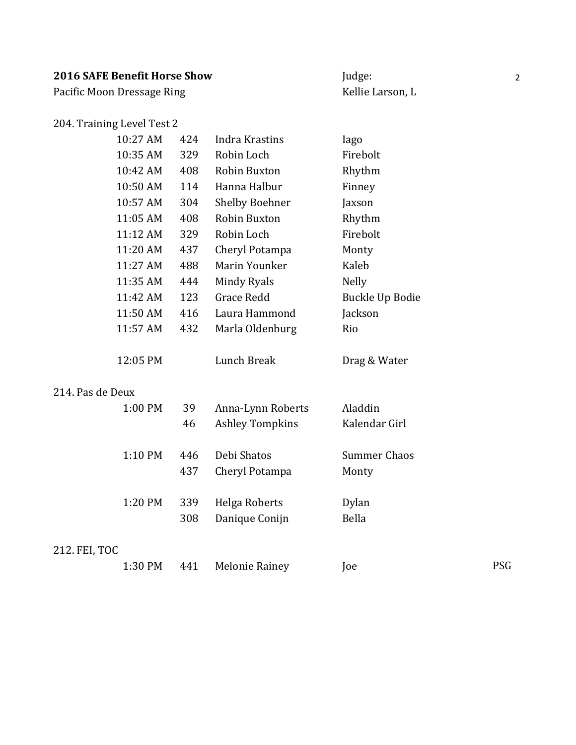# **2016 SAFE Benefit Horse Show** Judge: 2016 SAFE Benefit Horse Show

Pacific Moon Dressage Ring Material Communication and Kellie Larson, L

### 204. Training Level Test 2

| 10:27 AM           | 424 | Indra Krastins        | lago            |
|--------------------|-----|-----------------------|-----------------|
| 10:35 AM           | 329 | Robin Loch            | Firebolt        |
| 10:42 AM           | 408 | Robin Buxton          | Rhythm          |
| 10:50 AM           | 114 | Hanna Halbur          | Finney          |
| 10:57 AM           | 304 | <b>Shelby Boehner</b> | Jaxson          |
| 11:05 AM           | 408 | Robin Buxton          | Rhythm          |
| $11:12 \text{ AM}$ | 329 | Robin Loch            | Firebolt        |
| 11:20 AM           | 437 | Cheryl Potampa        | Monty           |
| 11:27 AM           | 488 | Marin Younker         | Kaleb           |
| 11:35 AM           | 444 | Mindy Ryals           | <b>Nelly</b>    |
| 11:42 AM           | 123 | Grace Redd            | Buckle Up Bodie |
| 11:50 AM           | 416 | Laura Hammond         | Jackson         |
| 11:57 AM           | 432 | Marla Oldenburg       | Rio             |
|                    |     |                       |                 |
| 12:05 PM           |     | Lunch Break           | Drag & Water    |
|                    |     |                       |                 |

#### 214. Pas de Deux

| 1:00 PM | 39  | Anna-Lynn Roberts      | Aladdin       |
|---------|-----|------------------------|---------------|
|         | 46  | <b>Ashley Tompkins</b> | Kalendar Girl |
| 1:10 PM | 446 | Debi Shatos            | Summer Chaos  |
|         | 437 | Cheryl Potampa         | Monty         |
| 1:20 PM | 339 | Helga Roberts          | Dylan         |
|         | 308 | Danique Conijn         | Bella         |

#### 212. FEI, TOC

| 1:30 PM | 441 Melonie Rainey | Joe | PSG |
|---------|--------------------|-----|-----|
|---------|--------------------|-----|-----|